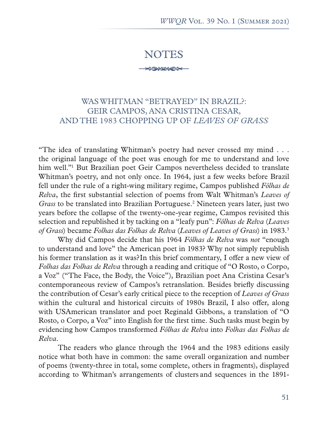## NOTES

**FRANCE** 

## WAS WHITMAN "BETRAYED" IN BRAZIL?: GEIR CAMPOS, ANA CRISTINA CESAR, AND THE 1983 CHOPPING UP OF *LEAVES OF GRASS*

"The idea of translating Whitman's poetry had never crossed my mind . . . the original language of the poet was enough for me to understand and love him well."<sup>1</sup> But Brazilian poet Geir Campos nevertheless decided to translate Whitman's poetry, and not only once. In 1964, just a few weeks before Brazil fell under the rule of a right-wing military regime, Campos published *Fôlhas de Relva*, the first substantial selection of poems from Walt Whitman's *Leaves of*  Grass to be translated into Brazilian Portuguese.<sup>2</sup> Nineteen years later, just two years before the collapse of the twenty-one-year regime, Campos revisited this selection and republished it by tacking on a "leafy pun": *Fôlhas de Relva* (*Leaves of Grass*) became *Folhas das Folhas de Relva* (*Leaves of Leaves of Grass*) in 1983.3

Why did Campos decide that his 1964 *Fôlhas de Relva* was *not* "enough to understand and love" the American poet in 1983? Why not simply republish his former translation as it was? In this brief commentary, I offer a new view of *Folhas das Folhas de Relva* through a reading and critique of "O Rosto, o Corpo, a Voz" ("The Face, the Body, the Voice"), Brazilian poet Ana Cristina Cesar's contemporaneous review of Campos's retranslation. Besides briefly discussing the contribution of Cesar's early critical piece to the reception of *Leaves of Grass*  within the cultural and historical circuits of 1980s Brazil, I also offer, along with USAmerican translator and poet Reginald Gibbons, a translation of "O Rosto, o Corpo, a Voz" into English for the first time. Such tasks must begin by evidencing how Campos transformed *Fôlhas de Relva* into *Folhas das Folhas de Relva.*

The readers who glance through the 1964 and the 1983 editions easily notice what both have in common: the same overall organization and number of poems (twenty-three in total, some complete, others in fragments), displayed according to Whitman's arrangements of clusters and sequences in the 1891-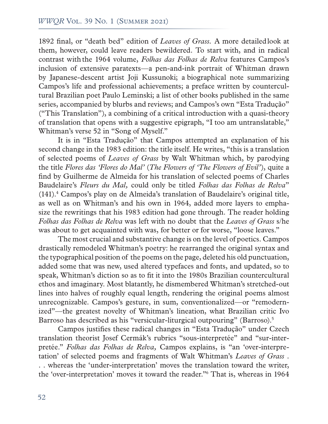1892 final, or "death bed" edition of *Leaves of Grass.* A more detailed look at them, however, could leave readers bewildered. To start with, and in radical contrast with the 1964 volume, *Folhas das Folhas de Relva* features Campos's inclusion of extensive paratexts—a pen-and-ink portrait of Whitman drawn by Japanese-descent artist Joji Kussunoki; a biographical note summarizing Campos's life and professional achievements; a preface written by countercultural Brazilian poet Paulo Leminski; a list of other books published in the same series, accompanied by blurbs and reviews; and Campos's own "Esta Tradução" ("This Translation"), a combining of a critical introduction with a quasi-theory of translation that opens with a suggestive epigraph, "I too am untranslatable," Whitman's verse 52 in "Song of Myself."

It is in "Esta Tradução" that Campos attempted an explanation of his second change in the 1983 edition: the title itself. He writes, "this is a translation of selected poems of *Leaves of Grass* by Walt Whitman which, by parodying the title *Flores das 'Flores do Mal'* (*The Flowers of 'The Flowers of Evil'*), quite a find by Guilherme de Almeida for his translation of selected poems of Charles Baudelaire's *Fleurs du Mal,* could only be titled *Folhas das Folhas de Relva*" (141).4 Campos's play on de Almeida's translation of Baudelaire's original title, as well as on Whitman's and his own in 1964, added more layers to emphasize the rewritings that his 1983 edition had gone through. The reader holding *Folhas das Folhas de Relva* was left with no doubt that the *Leaves of Grass* s/he was about to get acquainted with was, for better or for worse, "loose leaves."

The most crucial and substantive change is on the level of poetics. Campos drastically remodeled Whitman's poetry: he rearranged the original syntax and the typographical position of the poems on the page, deleted his old punctuation, added some that was new, used altered typefaces and fonts, and updated, so to speak, Whitman's diction so as to fit it into the 1980s Brazilian countercultural ethos and imaginary. Most blatantly, he dismembered Whitman's stretched-out lines into halves of roughly equal length, rendering the original poems almost unrecognizable. Campos's gesture, in sum, conventionalized—or "remodernized"—the greatest novelty of Whitman's lineation, what Brazilian critic Ivo Barroso has described as his "versicular-liturgical outpouring" (Barroso).5

Campos justifies these radical changes in "Esta Tradução" under Czech translation theorist Josef Cermák's rubrics "sous-interpretée" and "sur-interpretée." *Folhas das Folhas de Relva,* Campos explains, is "an 'over-interpretation' of selected poems and fragments of Walt Whitman's *Leaves of Grass* . . . whereas the 'under-interpretation' moves the translation toward the writer, the 'over-interpretation' moves it toward the reader."6 That is, whereas in 1964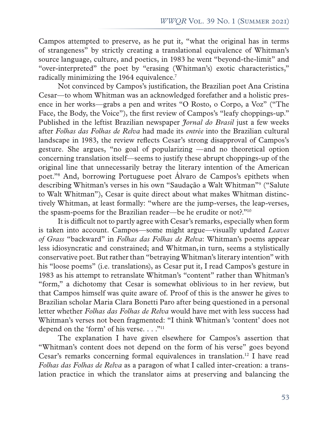Campos attempted to preserve, as he put it, "what the original has in terms of strangeness" by strictly creating a translational equivalence of Whitman's source language, culture, and poetics, in 1983 he went "beyond-the-limit" and "over-interpreted" the poet by "erasing (Whitman's) exotic characteristics," radically minimizing the 1964 equivalence.7

Not convinced by Campos's justification, the Brazilian poet Ana Cristina Cesar—to whom Whitman was an acknowledged forefather and a holistic presence in her works—grabs a pen and writes "O Rosto, o Corpo, a Voz" ("The Face, the Body, the Voice"), the first review of Campos's "leafy choppings-up." Published in the leftist Brazilian newspaper *Jornal do Brasil* just a few weeks after *Folhas das Folhas de Relva* had made its *entrée* into the Brazilian cultural landscape in 1983, the review reflects Cesar's strong disapproval of Campos's gesture. She argues, "no goal of popularizing —and no theoretical option concerning translation itself—seems to justify these abrupt choppings-up of the original line that unnecessarily betray the literary intention of the American poet."8 And, borrowing Portuguese poet Álvaro de Campos's epithets when describing Whitman's verses in his own "Saudação a Walt Whitman"9 ("Salute to Walt Whitman"), Cesar is quite direct about what makes Whitman distinctively Whitman, at least formally: "where are the jump-verses, the leap-verses, the spasm-poems for the Brazilian reader—be he erudite or not?."10

It is difficult not to partly agree with Cesar's remarks, especially when form is taken into account. Campos—some might argue—visually updated *Leaves of Grass* "backward" in *Folhas das Folhas de Relva*: Whitman's poems appear less idiosyncratic and constrained; and Whitman, in turn, seems a stylistically conservative poet. But rather than "betraying Whitman's literary intention" with his "loose poems" (i.e. translations), as Cesar put it, I read Campos's gesture in 1983 as his attempt to retranslate Whitman's "content" rather than Whitman's "form," a dichotomy that Cesar is somewhat oblivious to in her review, but that Campos himself was quite aware of. Proof of this is the answer he gives to Brazilian scholar Maria Clara Bonetti Paro after being questioned in a personal letter whether *Folhas das Folhas de Relva* would have met with less success had Whitman's verses not been fragmented: "I think Whitman's 'content' does not depend on the 'form' of his verse.  $\dots$ ."<sup>11</sup>

The explanation I have given elsewhere for Campos's assertion that "Whitman's content does not depend on the form of his verse" goes beyond Cesar's remarks concerning formal equivalences in translation.12 I have read *Folhas das Folhas de Relva* as a paragon of what I called inter-creation: a translation practice in which the translator aims at preserving and balancing the